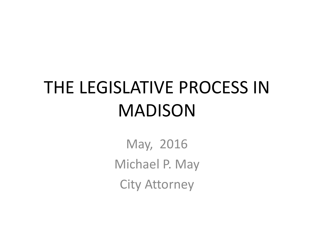### THE LEGISLATIVE PROCESS IN MADISON

May, 2016 Michael P. May City Attorney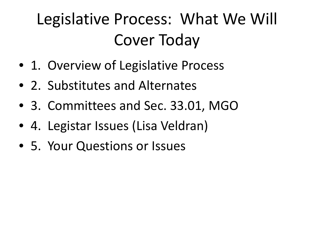#### Legislative Process: What We Will Cover Today

- 1. Overview of Legislative Process
- 2. Substitutes and Alternates
- 3. Committees and Sec. 33.01, MGO
- 4. Legistar Issues (Lisa Veldran)
- 5. Your Questions or Issues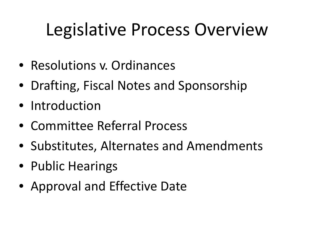### Legislative Process Overview

- Resolutions v. Ordinances
- Drafting, Fiscal Notes and Sponsorship
- Introduction
- Committee Referral Process
- Substitutes, Alternates and Amendments
- Public Hearings
- Approval and Effective Date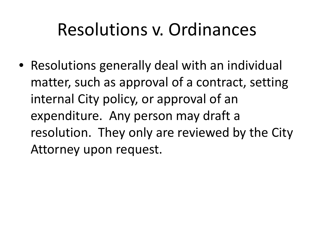#### Resolutions v. Ordinances

• Resolutions generally deal with an individual matter, such as approval of a contract, setting internal City policy, or approval of an expenditure. Any person may draft a resolution. They only are reviewed by the City Attorney upon request.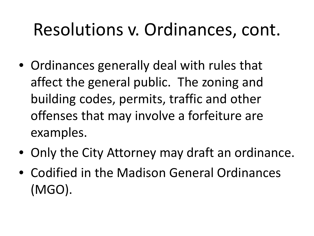#### Resolutions v. Ordinances, cont.

- Ordinances generally deal with rules that affect the general public. The zoning and building codes, permits, traffic and other offenses that may involve a forfeiture are examples.
- Only the City Attorney may draft an ordinance.
- Codified in the Madison General Ordinances (MGO).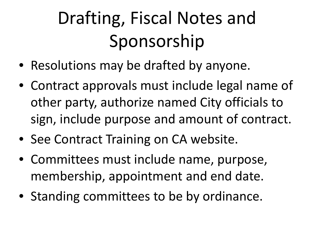# Drafting, Fiscal Notes and Sponsorship

- Resolutions may be drafted by anyone.
- Contract approvals must include legal name of other party, authorize named City officials to sign, include purpose and amount of contract.
- See Contract Training on CA website.
- Committees must include name, purpose, membership, appointment and end date.
- Standing committees to be by ordinance.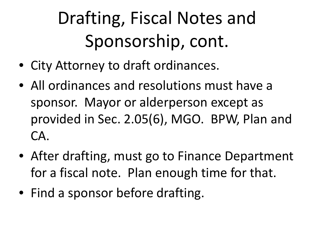# Drafting, Fiscal Notes and Sponsorship, cont.

- City Attorney to draft ordinances.
- All ordinances and resolutions must have a sponsor. Mayor or alderperson except as provided in Sec. 2.05(6), MGO. BPW, Plan and CA.
- After drafting, must go to Finance Department for a fiscal note. Plan enough time for that.
- Find a sponsor before drafting.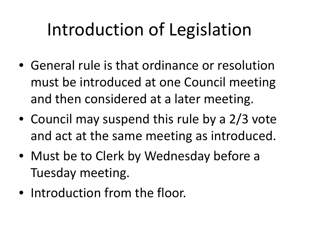### Introduction of Legislation

- General rule is that ordinance or resolution must be introduced at one Council meeting and then considered at a later meeting.
- Council may suspend this rule by a 2/3 vote and act at the same meeting as introduced.
- Must be to Clerk by Wednesday before a Tuesday meeting.
- Introduction from the floor.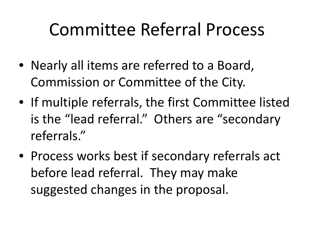#### Committee Referral Process

- Nearly all items are referred to a Board, Commission or Committee of the City.
- If multiple referrals, the first Committee listed is the "lead referral." Others are "secondary referrals."
- Process works best if secondary referrals act before lead referral. They may make suggested changes in the proposal.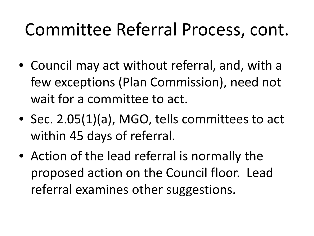#### Committee Referral Process, cont.

- Council may act without referral, and, with a few exceptions (Plan Commission), need not wait for a committee to act.
- Sec. 2.05(1)(a), MGO, tells committees to act within 45 days of referral.
- Action of the lead referral is normally the proposed action on the Council floor. Lead referral examines other suggestions.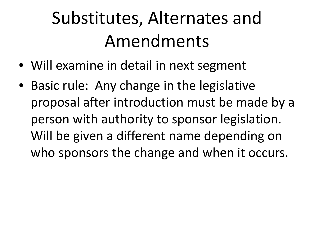- Will examine in detail in next segment
- Basic rule: Any change in the legislative proposal after introduction must be made by a person with authority to sponsor legislation. Will be given a different name depending on who sponsors the change and when it occurs.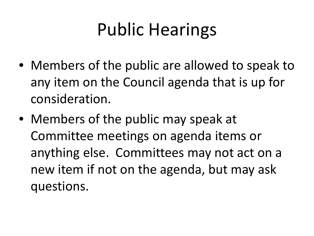### Public Hearings

- Members of the public are allowed to speak to any item on the Council agenda that is up for consideration.
- Members of the public may speak at Committee meetings on agenda items or anything else. Committees may not act on a new item if not on the agenda, but may ask questions.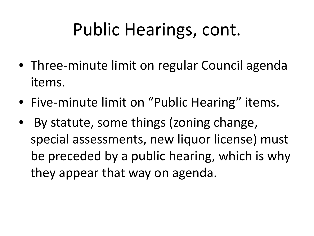### Public Hearings, cont.

- Three-minute limit on regular Council agenda items.
- Five-minute limit on "Public Hearing" items.
- By statute, some things (zoning change, special assessments, new liquor license) must be preceded by a public hearing, which is why they appear that way on agenda.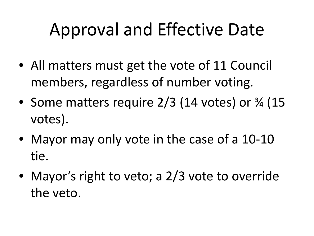#### Approval and Effective Date

- All matters must get the vote of 11 Council members, regardless of number voting.
- Some matters require 2/3 (14 votes) or  $\frac{3}{4}$  (15) votes).
- Mayor may only vote in the case of a 10-10 tie.
- Mayor's right to veto; a 2/3 vote to override the veto.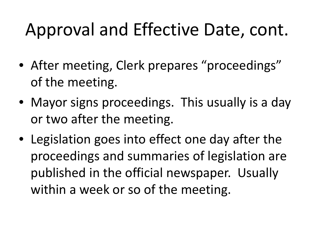#### Approval and Effective Date, cont.

- After meeting, Clerk prepares "proceedings" of the meeting.
- Mayor signs proceedings. This usually is a day or two after the meeting.
- Legislation goes into effect one day after the proceedings and summaries of legislation are published in the official newspaper. Usually within a week or so of the meeting.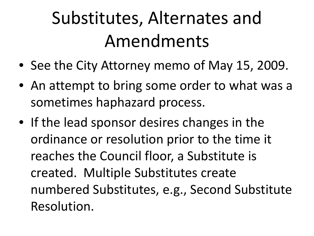- See the City Attorney memo of May 15, 2009.
- An attempt to bring some order to what was a sometimes haphazard process.
- If the lead sponsor desires changes in the ordinance or resolution prior to the time it reaches the Council floor, a Substitute is created. Multiple Substitutes create numbered Substitutes, e.g., Second Substitute Resolution.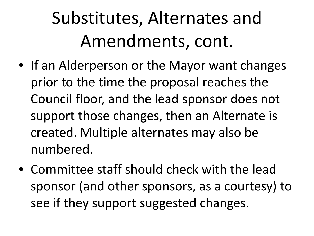- If an Alderperson or the Mayor want changes prior to the time the proposal reaches the Council floor, and the lead sponsor does not support those changes, then an Alternate is created. Multiple alternates may also be numbered.
- Committee staff should check with the lead sponsor (and other sponsors, as a courtesy) to see if they support suggested changes.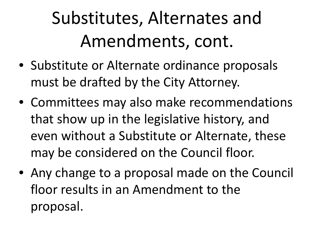- Substitute or Alternate ordinance proposals must be drafted by the City Attorney.
- Committees may also make recommendations that show up in the legislative history, and even without a Substitute or Alternate, these may be considered on the Council floor.
- Any change to a proposal made on the Council floor results in an Amendment to the proposal.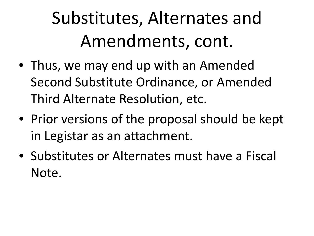- Thus, we may end up with an Amended Second Substitute Ordinance, or Amended Third Alternate Resolution, etc.
- Prior versions of the proposal should be kept in Legistar as an attachment.
- Substitutes or Alternates must have a Fiscal Note.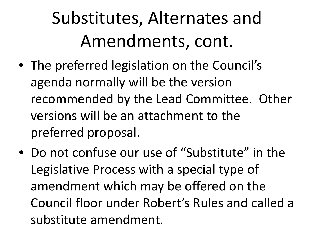- The preferred legislation on the Council's agenda normally will be the version recommended by the Lead Committee. Other versions will be an attachment to the preferred proposal.
- Do not confuse our use of "Substitute" in the Legislative Process with a special type of amendment which may be offered on the Council floor under Robert's Rules and called a substitute amendment.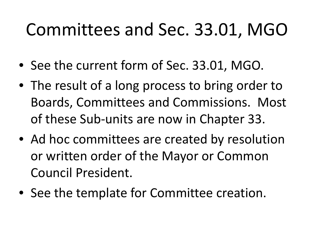#### Committees and Sec. 33.01, MGO

- See the current form of Sec. 33.01, MGO.
- The result of a long process to bring order to Boards, Committees and Commissions. Most of these Sub-units are now in Chapter 33.
- Ad hoc committees are created by resolution or written order of the Mayor or Common Council President.
- See the template for Committee creation.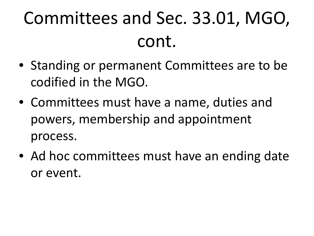- Standing or permanent Committees are to be codified in the MGO.
- Committees must have a name, duties and powers, membership and appointment process.
- Ad hoc committees must have an ending date or event.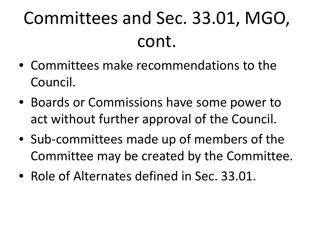- Committees make recommendations to the Council.
- Boards or Commissions have some power to act without further approval of the Council.
- Sub-committees made up of members of the Committee may be created by the Committee.
- Role of Alternates defined in Sec. 33.01.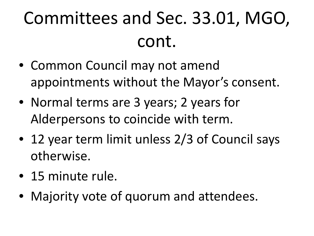- Common Council may not amend appointments without the Mayor's consent.
- Normal terms are 3 years; 2 years for Alderpersons to coincide with term.
- 12 year term limit unless 2/3 of Council says otherwise.
- 15 minute rule.
- Majority vote of quorum and attendees.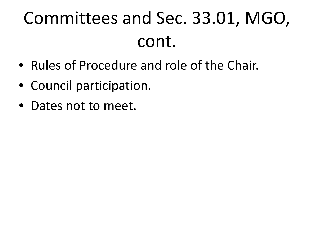- Rules of Procedure and role of the Chair.
- Council participation.
- Dates not to meet.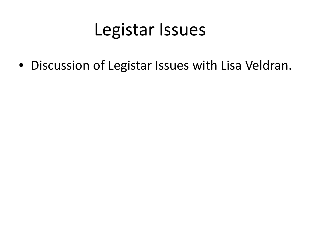#### Legistar Issues

• Discussion of Legistar Issues with Lisa Veldran.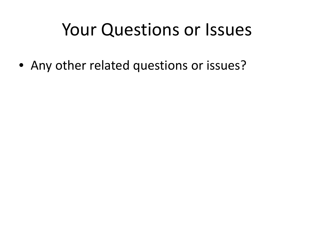#### Your Questions or Issues

• Any other related questions or issues?